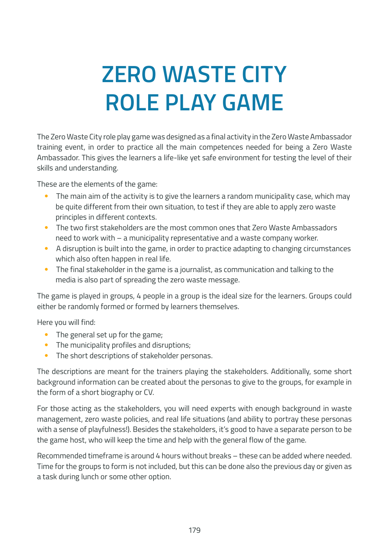# **ZERO WASTE CITY ROLE PLAY GAME**

The Zero Waste City role play game was designed as a final activity in the Zero Waste Ambassador training event, in order to practice all the main competences needed for being a Zero Waste Ambassador. This gives the learners a life-like yet safe environment for testing the level of their skills and understanding.

These are the elements of the game:

- The main aim of the activity is to give the learners a random municipality case, which may be quite different from their own situation, to test if they are able to apply zero waste principles in different contexts.
- The two first stakeholders are the most common ones that Zero Waste Ambassadors need to work with – a municipality representative and a waste company worker.
- A disruption is built into the game, in order to practice adapting to changing circumstances which also often happen in real life.
- The final stakeholder in the game is a journalist, as communication and talking to the media is also part of spreading the zero waste message.

The game is played in groups, 4 people in a group is the ideal size for the learners. Groups could either be randomly formed or formed by learners themselves.

Here you will find:

- The general set up for the game;
- The municipality profiles and disruptions;
- The short descriptions of stakeholder personas.

The descriptions are meant for the trainers playing the stakeholders. Additionally, some short background information can be created about the personas to give to the groups, for example in the form of a short biography or CV.

For those acting as the stakeholders, you will need experts with enough background in waste management, zero waste policies, and real life situations (and ability to portray these personas with a sense of playfulness!). Besides the stakeholders, it's good to have a separate person to be the game host, who will keep the time and help with the general flow of the game.

Recommended timeframe is around 4 hours without breaks – these can be added where needed. Time for the groups to form is not included, but this can be done also the previous day or given as a task during lunch or some other option.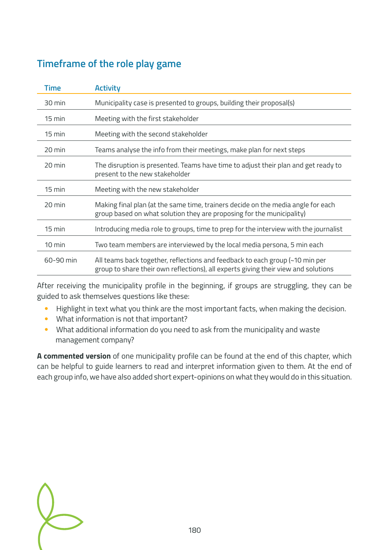# **Timeframe of the role play game**

| <b>Time</b>      | <b>Activity</b>                                                                                                                                                    |
|------------------|--------------------------------------------------------------------------------------------------------------------------------------------------------------------|
| 30 min           | Municipality case is presented to groups, building their proposal(s)                                                                                               |
| $15 \text{ min}$ | Meeting with the first stakeholder                                                                                                                                 |
| 15 min           | Meeting with the second stakeholder                                                                                                                                |
| 20 min           | Teams analyse the info from their meetings, make plan for next steps                                                                                               |
| 20 min           | The disruption is presented. Teams have time to adjust their plan and get ready to<br>present to the new stakeholder                                               |
| $15$ min         | Meeting with the new stakeholder                                                                                                                                   |
| 20 min           | Making final plan (at the same time, trainers decide on the media angle for each<br>group based on what solution they are proposing for the municipality)          |
| $15$ min         | Introducing media role to groups, time to prep for the interview with the journalist                                                                               |
| $10 \text{ min}$ | Two team members are interviewed by the local media persona, 5 min each                                                                                            |
| 60-90 min        | All teams back together, reflections and feedback to each group (~10 min per<br>group to share their own reflections), all experts giving their view and solutions |

After receiving the municipality profile in the beginning, if groups are struggling, they can be guided to ask themselves questions like these:

- Highlight in text what you think are the most important facts, when making the decision.
- What information is not that important?
- What additional information do you need to ask from the municipality and waste management company?

**A commented version** of one municipality profile can be found at the end of this chapter, which can be helpful to guide learners to read and interpret information given to them. At the end of each group info, we have also added short expert-opinions on what they would do in this situation.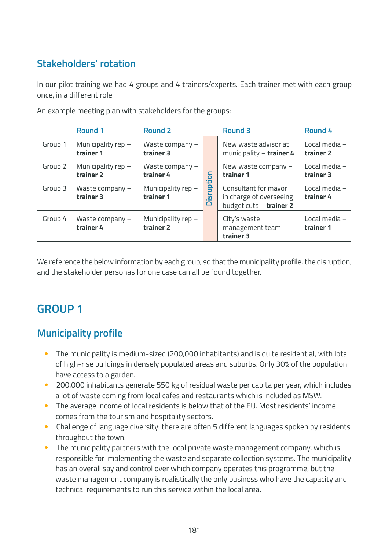# **Stakeholders' rotation**

In our pilot training we had 4 groups and 4 trainers/experts. Each trainer met with each group once, in a different role.

|         | Round 1                           | <b>Round 2</b>                    |                                        | Round 3                                                                    | Round 4                    |
|---------|-----------------------------------|-----------------------------------|----------------------------------------|----------------------------------------------------------------------------|----------------------------|
| Group 1 | Municipality $rep -$<br>trainer 1 | Waste company $-$<br>trainer 3    |                                        | New waste advisor at<br>municipality $-$ trainer 4                         | Local media -<br>trainer 2 |
| Group 2 | Municipality $rep -$<br>trainer 2 | Waste company $-$<br>trainer 4    | 등                                      | New waste company $-$<br>trainer 1                                         | Local media -<br>trainer 3 |
| Group 3 | Waste company $-$<br>trainer 3    | Municipality $rep -$<br>trainer 1 | --<br>upti<br>┶<br><u>.ច</u><br>$\Box$ | Consultant for mayor<br>in charge of overseeing<br>budget cuts - trainer 2 | Local media -<br>trainer 4 |
| Group 4 | Waste company $-$<br>trainer 4    | Municipality $rep -$<br>trainer 2 |                                        | City's waste<br>management team -<br>trainer 3                             | Local media -<br>trainer 1 |

An example meeting plan with stakeholders for the groups:

We reference the below information by each group, so that the municipality profile, the disruption, and the stakeholder personas for one case can all be found together.

# **GROUP 1**

- The municipality is medium-sized (200,000 inhabitants) and is quite residential, with lots of high-rise buildings in densely populated areas and suburbs. Only 30% of the population have access to a garden.
- 200,000 inhabitants generate 550 kg of residual waste per capita per year, which includes a lot of waste coming from local cafes and restaurants which is included as MSW.
- The average income of local residents is below that of the EU. Most residents' income comes from the tourism and hospitality sectors.
- Challenge of language diversity: there are often 5 different languages spoken by residents throughout the town.
- The municipality partners with the local private waste management company, which is responsible for implementing the waste and separate collection systems. The municipality has an overall say and control over which company operates this programme, but the waste management company is realistically the only business who have the capacity and technical requirements to run this service within the local area.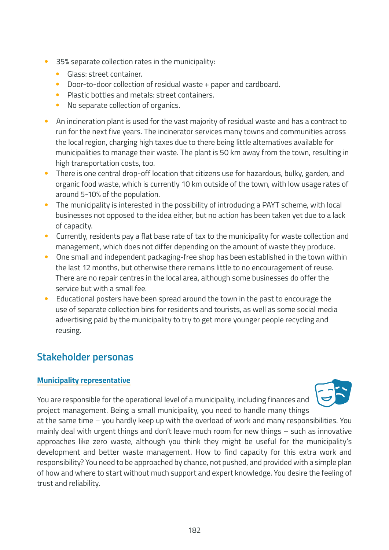- 35% separate collection rates in the municipality:
	- Glass: street container.
	- Door-to-door collection of residual waste + paper and cardboard.
	- Plastic bottles and metals: street containers.
	- No separate collection of organics.
- An incineration plant is used for the vast majority of residual waste and has a contract to run for the next five years. The incinerator services many towns and communities across the local region, charging high taxes due to there being little alternatives available for municipalities to manage their waste. The plant is 50 km away from the town, resulting in high transportation costs, too.
- There is one central drop-off location that citizens use for hazardous, bulky, garden, and organic food waste, which is currently 10 km outside of the town, with low usage rates of around 5-10% of the population.
- The municipality is interested in the possibility of introducing a PAYT scheme, with local businesses not opposed to the idea either, but no action has been taken yet due to a lack of capacity.
- Currently, residents pay a flat base rate of tax to the municipality for waste collection and management, which does not differ depending on the amount of waste they produce.
- One small and independent packaging-free shop has been established in the town within the last 12 months, but otherwise there remains little to no encouragement of reuse. There are no repair centres in the local area, although some businesses do offer the service but with a small fee.
- Educational posters have been spread around the town in the past to encourage the use of separate collection bins for residents and tourists, as well as some social media advertising paid by the municipality to try to get more younger people recycling and reusing.

# **Stakeholder personas**

#### **Municipality representative**

You are responsible for the operational level of a municipality, including finances and project management. Being a small municipality, you need to handle many things



at the same time – you hardly keep up with the overload of work and many responsibilities. You mainly deal with urgent things and don't leave much room for new things – such as innovative approaches like zero waste, although you think they might be useful for the municipality's development and better waste management. How to find capacity for this extra work and responsibility? You need to be approached by chance, not pushed, and provided with a simple plan of how and where to start without much support and expert knowledge. You desire the feeling of trust and reliability.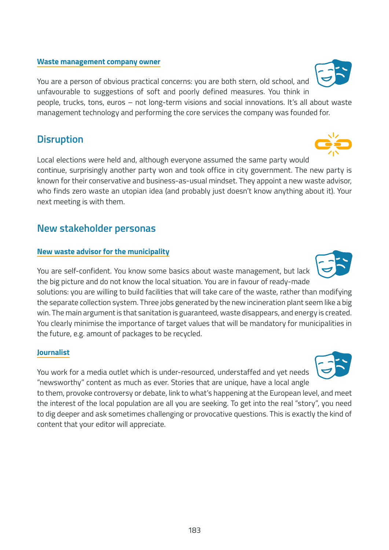#### **Waste management company owner**

You are a person of obvious practical concerns: you are both stern, old school, and unfavourable to suggestions of soft and poorly defined measures. You think in people, trucks, tons, euros – not long-term visions and social innovations. It's all about waste management technology and performing the core services the company was founded for.

### **Disruption**

Local elections were held and, although everyone assumed the same party would continue, surprisingly another party won and took office in city government. The new party is known for their conservative and business-as-usual mindset. They appoint a new waste advisor, who finds zero waste an utopian idea (and probably just doesn't know anything about it). Your next meeting is with them.

### **New stakeholder personas**

#### **New waste advisor for the municipality**

You are self-confident. You know some basics about waste management, but lack the big picture and do not know the local situation. You are in favour of ready-made solutions: you are willing to build facilities that will take care of the waste, rather than modifying the separate collection system. Three jobs generated by the new incineration plant seem like a big win. The main argument is that sanitation is guaranteed, waste disappears, and energy is created. You clearly minimise the importance of target values that will be mandatory for municipalities in the future, e.g. amount of packages to be recycled.

#### **Journalist**

You work for a media outlet which is under-resourced, understaffed and yet needs "newsworthy" content as much as ever. Stories that are unique, have a local angle

to them, provoke controversy or debate, link to what's happening at the European level, and meet the interest of the local population are all you are seeking. To get into the real "story", you need to dig deeper and ask sometimes challenging or provocative questions. This is exactly the kind of content that your editor will appreciate.







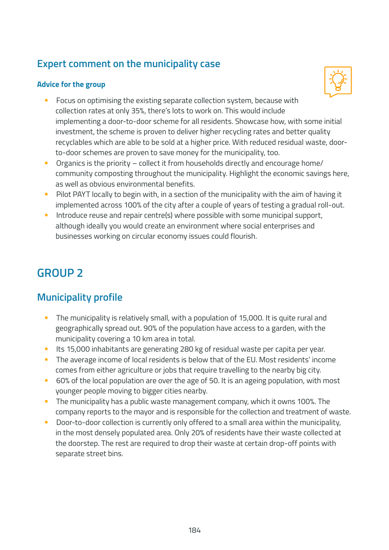# **Expert comment on the municipality case**

#### **Advice for the group**



- Focus on optimising the existing separate collection system, because with collection rates at only 35%, there's lots to work on. This would include implementing a door-to-door scheme for all residents. Showcase how, with some initial investment, the scheme is proven to deliver higher recycling rates and better quality recyclables which are able to be sold at a higher price. With reduced residual waste, doorto-door schemes are proven to save money for the municipality, too.
- Organics is the priority collect it from households directly and encourage home/ community composting throughout the municipality. Highlight the economic savings here, as well as obvious environmental benefits.
- Pilot PAYT locally to begin with, in a section of the municipality with the aim of having it implemented across 100% of the city after a couple of years of testing a gradual roll-out.
- Introduce reuse and repair centre(s) where possible with some municipal support, although ideally you would create an environment where social enterprises and businesses working on circular economy issues could flourish.

# **GROUP 2**

- The municipality is relatively small, with a population of 15,000. It is quite rural and geographically spread out. 90% of the population have access to a garden, with the municipality covering a 10 km area in total.
- Its 15,000 inhabitants are generating 280 kg of residual waste per capita per year.
- The average income of local residents is below that of the EU. Most residents' income comes from either agriculture or jobs that require travelling to the nearby big city.
- 60% of the local population are over the age of 50. It is an ageing population, with most younger people moving to bigger cities nearby.
- The municipality has a public waste management company, which it owns 100%. The company reports to the mayor and is responsible for the collection and treatment of waste.
- Door-to-door collection is currently only offered to a small area within the municipality, in the most densely populated area. Only 20% of residents have their waste collected at the doorstep. The rest are required to drop their waste at certain drop-off points with separate street bins.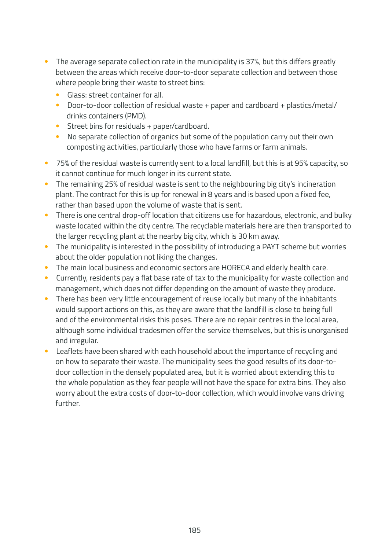- The average separate collection rate in the municipality is 37%, but this differs greatly between the areas which receive door-to-door separate collection and between those where people bring their waste to street bins:
	- Glass: street container for all.
	- Door-to-door collection of residual waste + paper and cardboard + plastics/metal/ drinks containers (PMD).
	- Street bins for residuals + paper/cardboard.
	- No separate collection of organics but some of the population carry out their own composting activities, particularly those who have farms or farm animals.
- 75% of the residual waste is currently sent to a local landfill, but this is at 95% capacity, so it cannot continue for much longer in its current state.
- The remaining 25% of residual waste is sent to the neighbouring big city's incineration plant. The contract for this is up for renewal in 8 years and is based upon a fixed fee, rather than based upon the volume of waste that is sent.
- There is one central drop-off location that citizens use for hazardous, electronic, and bulky waste located within the city centre. The recyclable materials here are then transported to the larger recycling plant at the nearby big city, which is 30 km away.
- The municipality is interested in the possibility of introducing a PAYT scheme but worries about the older population not liking the changes.
- The main local business and economic sectors are HORECA and elderly health care.
- Currently, residents pay a flat base rate of tax to the municipality for waste collection and management, which does not differ depending on the amount of waste they produce.
- There has been very little encouragement of reuse locally but many of the inhabitants would support actions on this, as they are aware that the landfill is close to being full and of the environmental risks this poses. There are no repair centres in the local area, although some individual tradesmen offer the service themselves, but this is unorganised and irregular.
- Leaflets have been shared with each household about the importance of recycling and on how to separate their waste. The municipality sees the good results of its door-todoor collection in the densely populated area, but it is worried about extending this to the whole population as they fear people will not have the space for extra bins. They also worry about the extra costs of door-to-door collection, which would involve vans driving further.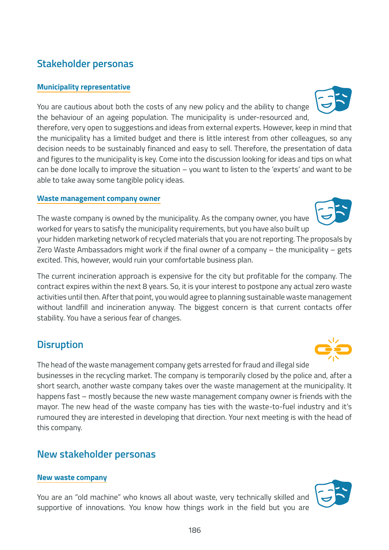# **Municipality representative**

**Stakeholder personas**

You are cautious about both the costs of any new policy and the ability to change the behaviour of an ageing population. The municipality is under-resourced and, therefore, very open to suggestions and ideas from external experts. However, keep in mind that the municipality has a limited budget and there is little interest from other colleagues, so any decision needs to be sustainably financed and easy to sell. Therefore, the presentation of data and figures to the municipality is key. Come into the discussion looking for ideas and tips on what can be done locally to improve the situation – you want to listen to the 'experts' and want to be

#### **Waste management company owner**

able to take away some tangible policy ideas.

The waste company is owned by the municipality. As the company owner, you have worked for years to satisfy the municipality requirements, but you have also built up

your hidden marketing network of recycled materials that you are not reporting. The proposals by Zero Waste Ambassadors might work if the final owner of a company – the municipality – gets excited. This, however, would ruin your comfortable business plan.

The current incineration approach is expensive for the city but profitable for the company. The contract expires within the next 8 years. So, it is your interest to postpone any actual zero waste activities until then. After that point, you would agree to planning sustainable waste management without landfill and incineration anyway. The biggest concern is that current contacts offer stability. You have a serious fear of changes.

### **Disruption**

The head of the waste management company gets arrested for fraud and illegal side businesses in the recycling market. The company is temporarily closed by the police and, after a short search, another waste company takes over the waste management at the municipality. It happens fast – mostly because the new waste management company owner is friends with the mayor. The new head of the waste company has ties with the waste-to-fuel industry and it's rumoured they are interested in developing that direction. Your next meeting is with the head of this company.

### **New stakeholder personas**

#### **New waste company**

You are an "old machine" who knows all about waste, very technically skilled and supportive of innovations. You know how things work in the field but you are





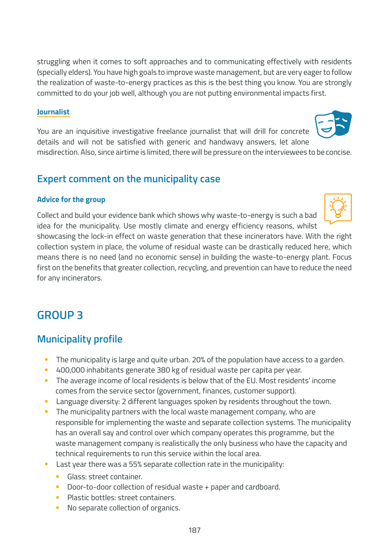struggling when it comes to soft approaches and to communicating effectively with residents (specially elders). You have high goals to improve waste management, but are very eager to follow the realization of waste-to-energy practices as this is the best thing you know. You are strongly committed to do your job well, although you are not putting environmental impacts first.

#### **Journalist**

You are an inquisitive investigative freelance journalist that will drill for concrete details and will not be satisfied with generic and handwavy answers, let alone

misdirection. Also, since airtime is limited, there will be pressure on the interviewees to be concise.

### **Expert comment on the municipality case**

#### **Advice for the group**

Collect and build your evidence bank which shows why waste-to-energy is such a bad idea for the municipality. Use mostly climate and energy efficiency reasons, whilst

showcasing the lock-in effect on waste generation that these incinerators have. With the right collection system in place, the volume of residual waste can be drastically reduced here, which means there is no need (and no economic sense) in building the waste-to-energy plant. Focus first on the benefits that greater collection, recycling, and prevention can have to reduce the need for any incinerators.

# **GROUP 3**

- The municipality is large and quite urban. 20% of the population have access to a garden.
- 400,000 inhabitants generate 380 kg of residual waste per capita per year.
- The average income of local residents is below that of the EU. Most residents' income comes from the service sector (government, finances, customer support).
- Language diversity: 2 different languages spoken by residents throughout the town.
- The municipality partners with the local waste management company, who are responsible for implementing the waste and separate collection systems. The municipality has an overall say and control over which company operates this programme, but the waste management company is realistically the only business who have the capacity and technical requirements to run this service within the local area.
- Last year there was a 55% separate collection rate in the municipality:
	- Glass: street container.
	- Door-to-door collection of residual waste + paper and cardboard.
	- Plastic bottles: street containers.
	- No separate collection of organics.



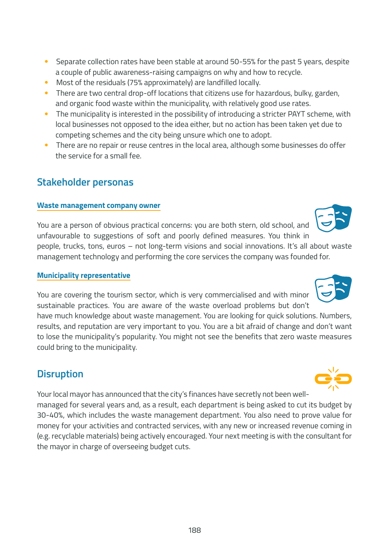- Separate collection rates have been stable at around 50-55% for the past 5 years, despite a couple of public awareness-raising campaigns on why and how to recycle.
- Most of the residuals (75% approximately) are landfilled locally.
- There are two central drop-off locations that citizens use for hazardous, bulky, garden, and organic food waste within the municipality, with relatively good use rates.
- The municipality is interested in the possibility of introducing a stricter PAYT scheme, with local businesses not opposed to the idea either, but no action has been taken yet due to competing schemes and the city being unsure which one to adopt.
- There are no repair or reuse centres in the local area, although some businesses do offer the service for a small fee.

### **Stakeholder personas**

#### **Waste management company owner**

You are a person of obvious practical concerns: you are both stern, old school, and unfavourable to suggestions of soft and poorly defined measures. You think in people, trucks, tons, euros – not long-term visions and social innovations. It's all about waste management technology and performing the core services the company was founded for.

#### **Municipality representative**

You are covering the tourism sector, which is very commercialised and with minor sustainable practices. You are aware of the waste overload problems but don't

have much knowledge about waste management. You are looking for quick solutions. Numbers, results, and reputation are very important to you. You are a bit afraid of change and don't want to lose the municipality's popularity. You might not see the benefits that zero waste measures could bring to the municipality.

# **Disruption**

Your local mayor has announced that the city's finances have secretly not been wellmanaged for several years and, as a result, each department is being asked to cut its budget by 30-40%, which includes the waste management department. You also need to prove value for money for your activities and contracted services, with any new or increased revenue coming in (e.g. recyclable materials) being actively encouraged. Your next meeting is with the consultant for the mayor in charge of overseeing budget cuts.



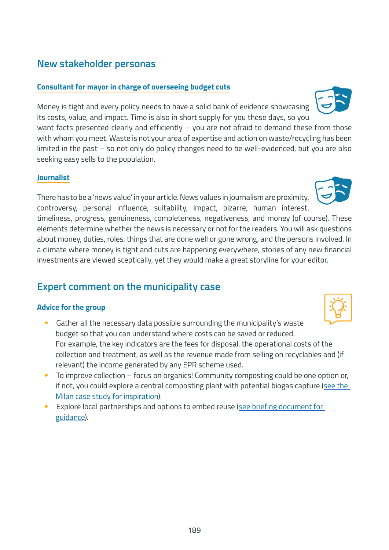# **New stakeholder personas**

#### **Consultant for mayor in charge of overseeing budget cuts**

Money is tight and every policy needs to have a solid bank of evidence showcasing its costs, value, and impact. Time is also in short supply for you these days, so you want facts presented clearly and efficiently - you are not afraid to demand these from those

with whom you meet. Waste is not your area of expertise and action on waste/recycling has been limited in the past – so not only do policy changes need to be well-evidenced, but you are also seeking easy sells to the population.

#### **Journalist**

There has to be a 'news value' in your article. News values in journalism are proximity, controversy, personal influence, suitability, impact, bizarre, human interest,

timeliness, progress, genuineness, completeness, negativeness, and money (of course). These elements determine whether the news is necessary or not for the readers. You will ask questions about money, duties, roles, things that are done well or gone wrong, and the persons involved. In a climate where money is tight and cuts are happening everywhere, stories of any new financial investments are viewed sceptically, yet they would make a great storyline for your editor.

# **Expert comment on the municipality case**

#### **Advice for the group**

- Gather all the necessary data possible surrounding the municipality's waste budget so that you can understand where costs can be saved or reduced. For example, the key indicators are the fees for disposal, the operational costs of the collection and treatment, as well as the revenue made from selling on recyclables and (if relevant) the income generated by any EPR scheme used.
- To improve collection focus on organics! Community composting could be one option or, if not, you could explore a central composting plant with potential biogas capture [\(see the](https://zerowastecities.eu/bestpractice/the-story-of-milan/)  [Milan case study for inspiration](https://zerowastecities.eu/bestpractice/the-story-of-milan/)).
- Explore local partnerships and options to embed reuse [\(see briefing document for](https://zerowastecities.eu/wp-content/uploads/2021/04/zwe_rreuse_guide_putting-second-hand-first-to-create-local-jobs_en.pdf)  [guidance\)](https://zerowastecities.eu/wp-content/uploads/2021/04/zwe_rreuse_guide_putting-second-hand-first-to-create-local-jobs_en.pdf).





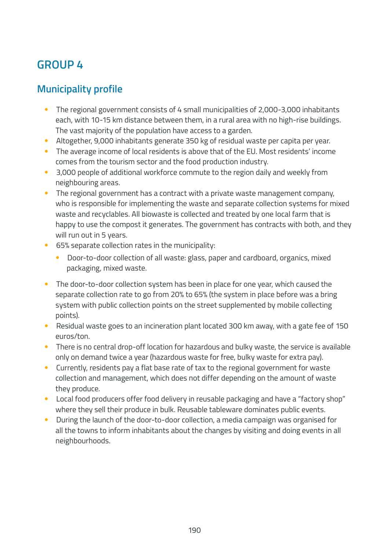# **GROUP 4**

- The regional government consists of 4 small municipalities of 2,000-3,000 inhabitants each, with 10-15 km distance between them, in a rural area with no high-rise buildings. The vast majority of the population have access to a garden.
- Altogether, 9,000 inhabitants generate 350 kg of residual waste per capita per year.
- The average income of local residents is above that of the EU. Most residents' income comes from the tourism sector and the food production industry.
- 3,000 people of additional workforce commute to the region daily and weekly from neighbouring areas.
- The regional government has a contract with a private waste management company, who is responsible for implementing the waste and separate collection systems for mixed waste and recyclables. All biowaste is collected and treated by one local farm that is happy to use the compost it generates. The government has contracts with both, and they will run out in 5 years.
- 65% separate collection rates in the municipality:
	- Door-to-door collection of all waste: glass, paper and cardboard, organics, mixed packaging, mixed waste.
- The door-to-door collection system has been in place for one year, which caused the separate collection rate to go from 20% to 65% (the system in place before was a bring system with public collection points on the street supplemented by mobile collecting points).
- Residual waste goes to an incineration plant located 300 km away, with a gate fee of 150 euros/ton.
- There is no central drop-off location for hazardous and bulky waste, the service is available only on demand twice a year (hazardous waste for free, bulky waste for extra pay).
- Currently, residents pay a flat base rate of tax to the regional government for waste collection and management, which does not differ depending on the amount of waste they produce.
- Local food producers offer food delivery in reusable packaging and have a "factory shop" where they sell their produce in bulk. Reusable tableware dominates public events.
- During the launch of the door-to-door collection, a media campaign was organised for all the towns to inform inhabitants about the changes by visiting and doing events in all neighbourhoods.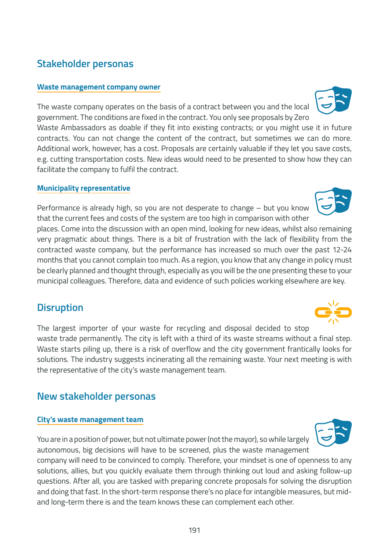# **Stakeholder personas**

#### **Waste management company owner**

The waste company operates on the basis of a contract between you and the local government. The conditions are fixed in the contract. You only see proposals by Zero Waste Ambassadors as doable if they fit into existing contracts; or you might use it in future contracts. You can not change the content of the contract, but sometimes we can do more. Additional work, however, has a cost. Proposals are certainly valuable if they let you save costs, e.g. cutting transportation costs. New ideas would need to be presented to show how they can facilitate the company to fulfil the contract.

#### **Municipality representative**

Performance is already high, so you are not desperate to change – but you know that the current fees and costs of the system are too high in comparison with other

places. Come into the discussion with an open mind, looking for new ideas, whilst also remaining very pragmatic about things. There is a bit of frustration with the lack of flexibility from the contracted waste company, but the performance has increased so much over the past 12-24 months that you cannot complain too much. As a region, you know that any change in policy must be clearly planned and thought through, especially as you will be the one presenting these to your municipal colleagues. Therefore, data and evidence of such policies working elsewhere are key.

### **Disruption**

The largest importer of your waste for recycling and disposal decided to stop waste trade permanently. The city is left with a third of its waste streams without a final step. Waste starts piling up, there is a risk of overflow and the city government frantically looks for solutions. The industry suggests incinerating all the remaining waste. Your next meeting is with the representative of the city's waste management team.

### **New stakeholder personas**

#### **City's waste management team**

You are in a position of power, but not ultimate power (not the mayor), so while largely autonomous, big decisions will have to be screened, plus the waste management company will need to be convinced to comply. Therefore, your mindset is one of openness to any solutions, allies, but you quickly evaluate them through thinking out loud and asking follow-up questions. After all, you are tasked with preparing concrete proposals for solving the disruption and doing that fast. In the short-term response there's no place for intangible measures, but midand long-term there is and the team knows these can complement each other.





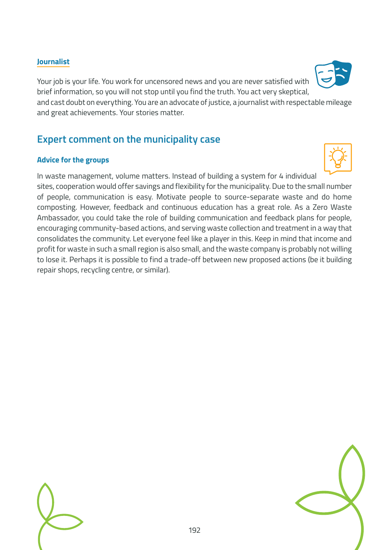#### **Journalist**

Your job is your life. You work for uncensored news and you are never satisfied with brief information, so you will not stop until you find the truth. You act very skeptical,

and cast doubt on everything. You are an advocate of justice, a journalist with respectable mileage and great achievements. Your stories matter.

### **Expert comment on the municipality case**

#### **Advice for the groups**

In waste management, volume matters. Instead of building a system for 4 individual sites, cooperation would offer savings and flexibility for the municipality. Due to the small number of people, communication is easy. Motivate people to source-separate waste and do home composting. However, feedback and continuous education has a great role. As a Zero Waste Ambassador, you could take the role of building communication and feedback plans for people, encouraging community-based actions, and serving waste collection and treatment in a way that consolidates the community. Let everyone feel like a player in this. Keep in mind that income and profit for waste in such a small region is also small, and the waste company is probably not willing to lose it. Perhaps it is possible to find a trade-off between new proposed actions (be it building repair shops, recycling centre, or similar).



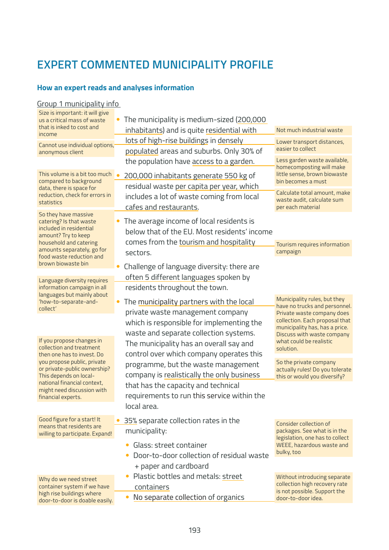# **EXPERT COMMENTED MUNICIPALITY PROFILE**

#### **How an expert reads and analyses information**

| Group 1 municipality info                                   |                                                                                                      |                                                                 |
|-------------------------------------------------------------|------------------------------------------------------------------------------------------------------|-----------------------------------------------------------------|
| Size is important: it will give                             |                                                                                                      |                                                                 |
| us a critical mass of waste<br>that is inked to cost and    | The municipality is medium-sized (200,000<br>$\bullet$<br>inhabitants) and is quite residential with | Not much industrial waste                                       |
| income                                                      | lots of high-rise buildings in densely                                                               |                                                                 |
| Cannot use individual options,                              | populated areas and suburbs. Only 30% of                                                             | Lower transport distances,<br>easier to collect                 |
| anonymous client                                            | the population have access to a garden.                                                              | Less garden waste available,                                    |
|                                                             |                                                                                                      | homecomposting will make                                        |
| This volume is a bit too much<br>compared to background     | 200,000 inhabitants generate 550 kg of                                                               | little sense, brown biowaste<br>bin becomes a must              |
| data, there is space for                                    | residual waste per capita per year, which                                                            | Calculate total amount, make                                    |
| reduction, check for errors in<br>statistics                | includes a lot of waste coming from local                                                            | waste audit, calculate sum                                      |
|                                                             | cafes and restaurants.                                                                               | per each material                                               |
| So they have massive<br>catering? Is that waste             | The average income of local residents is                                                             |                                                                 |
| included in residential<br>amount? Try to keep              | below that of the EU. Most residents' income                                                         |                                                                 |
| household and catering                                      | comes from the tourism and hospitality                                                               | Tourism requires information                                    |
| amounts separately, go for<br>food waste reduction and      | sectors.                                                                                             | campaign                                                        |
| brown biowaste bin                                          | Challenge of language diversity: there are                                                           |                                                                 |
|                                                             | often 5 different languages spoken by                                                                |                                                                 |
| Language diversity requires<br>information campaign in all  | residents throughout the town.                                                                       |                                                                 |
| languages but mainly about                                  |                                                                                                      | Municipality rules, but they                                    |
| 'how-to-separate-and-<br>collect'                           | The municipality partners with the local                                                             | have no trucks and personnel.                                   |
|                                                             | private waste management company                                                                     | Private waste company does<br>collection. Each proposal that    |
|                                                             | which is responsible for implementing the                                                            | municipality has, has a price.                                  |
| If you propose changes in                                   | waste and separate collection systems.                                                               | Discuss with waste company<br>what could be realistic           |
| collection and treatment                                    | The municipality has an overall say and                                                              | solution.                                                       |
| then one has to invest. Do<br>you propose public, private   | control over which company operates this                                                             | So the private company                                          |
| or private-public ownership?                                | programme, but the waste management                                                                  | actually rules! Do you tolerate                                 |
| This depends on local-<br>national financial context,       | company is realistically the only business<br>that has the capacity and technical                    | this or would you diversify?                                    |
| might need discussion with                                  |                                                                                                      |                                                                 |
| financial experts.                                          | requirements to run this service within the<br>local area.                                           |                                                                 |
|                                                             |                                                                                                      |                                                                 |
| Good figure for a start! It<br>means that residents are     | 35% separate collection rates in the                                                                 | <b>Consider collection of</b>                                   |
| willing to participate. Expand!                             | municipality:                                                                                        | packages. See what is in the<br>legislation, one has to collect |
|                                                             | Glass: street container<br>$\bullet$                                                                 | WEEE, hazardous waste and                                       |
|                                                             | Door-to-door collection of residual waste                                                            | bulky, too                                                      |
|                                                             | + paper and cardboard                                                                                |                                                                 |
| Why do we need street                                       | Plastic bottles and metals: street                                                                   | Without introducing separate                                    |
| container system if we have                                 | containers                                                                                           | collection high recovery rate<br>is not possible. Support the   |
| high rise buildings where<br>door-to-door is doable easily. | No separate collection of organics                                                                   | door-to-door idea.                                              |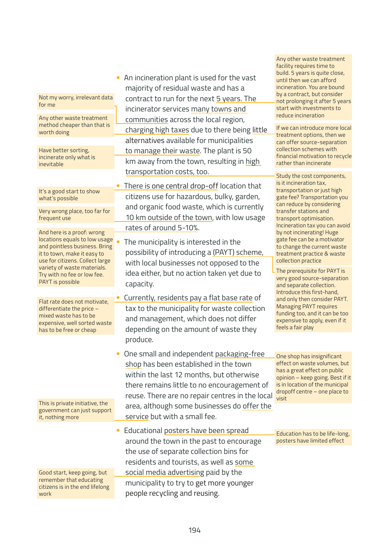| Not my worry, irrelevant data |  |
|-------------------------------|--|
| for me                        |  |

method cheaper than that is worth doing

Have better sorting, incinerate only what is inevitable

It's a good start to show what's possible

Very wrong place, too far for frequent use

And here is a proof: wrong locations equals to low usage and pointless business. Bring it to town, make it easy to use for citizens. Collect large variety of waste materials. Try with no fee or low fee. PAYT is possible

Flat rate does not motivate, differentiate the price – mixed waste has to be expensive, well sorted waste has to be free or cheap

This is private initiative, the government can just support it, nothing more

Good start, keep going, but remember that educating citizens is in the end lifelong work

• An incineration plant is used for the vast majority of residual waste and has a contract to run for the next 5 years. The incinerator services many towns and Any other waste treatment communities across the local region, and reduce incineration charging high taxes due to there being little alternatives available for municipalities to manage their waste. The plant is 50 km away from the town, resulting in high transportation costs, too.

> There is one central drop-off location that citizens use for hazardous, bulky, garden, and organic food waste, which is currently 10 km outside of the town, with low usage rates of around 5-10%.

The municipality is interested in the possibility of introducing a (PAYT) scheme, with local businesses not opposed to the idea either, but no action taken yet due to capacity.

• Currently, residents pay a flat base rate of tax to the municipality for waste collection and management, which does not differ depending on the amount of waste they produce.

• One small and independent packaging-free shop has been established in the town within the last 12 months, but otherwise there remains little to no encouragement of reuse. There are no repair centres in the local area, although some businesses do offer the service but with a small fee.

• Educational posters have been spread around the town in the past to encourage the use of separate collection bins for residents and tourists, as well as some social media advertising paid by the municipality to try to get more younger people recycling and reusing.

Any other waste treatment facility requires time to build. 5 years is quite close, until then we can afford incineration. You are bound by a contract, but consider not prolonging it after 5 years start with investments to

If we can introduce more local treatment options, then we can offer source-separation collection schemes with financial motivation to recycle rather than incinerate

Study the cost components, is it incineration tax, transportation or just high gate fee? Transportation you can reduce by considering transfer stations and transport optimisation. Incineration tax you can avoid by not incinerating! Huge gate fee can be a motivator to change the current waste treatment practice & waste collection practice

The prerequisite for PAYT is very good source-separation and separate collection. Introduce this first-hand, and only then consider PAYT. Managing PAYT requires funding too, and it can be too expensive to apply, even if it feels a fair play

One shop has insignificant effect on waste volumes, but has a great effect on public opinion – keep going. Best if it is in location of the municipal dropoff centre – one place to visit

Education has to be life-long, posters have limited effect